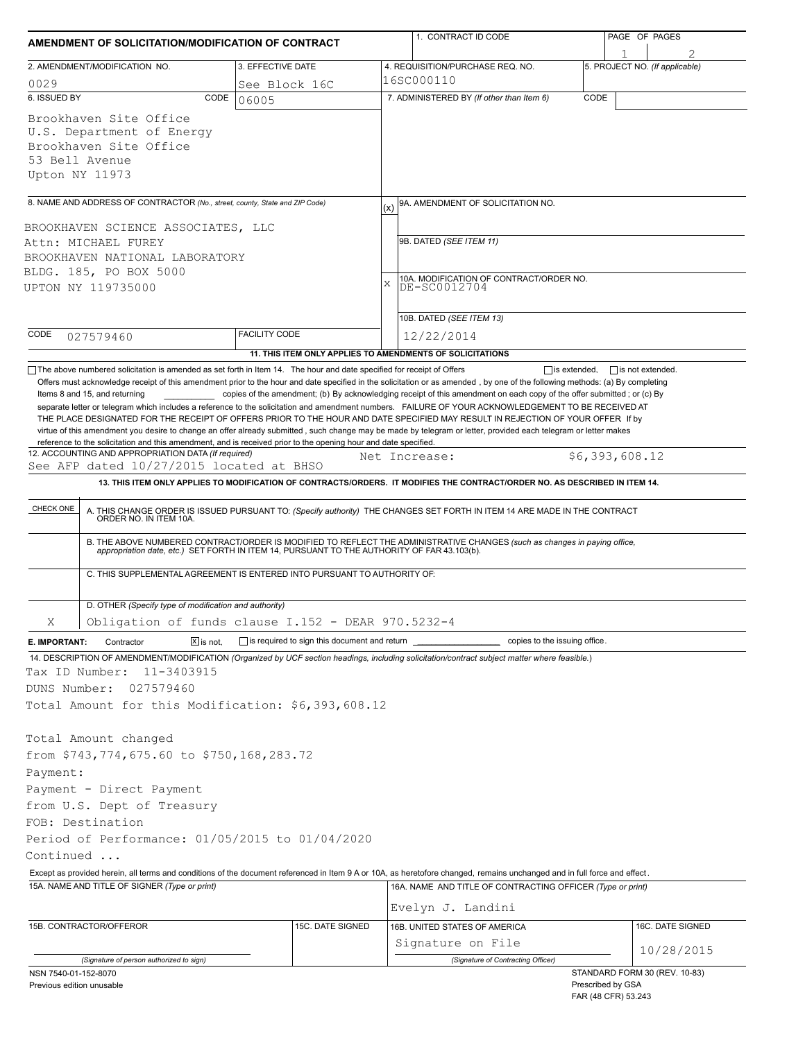| AMENDMENT OF SOLICITATION/MODIFICATION OF CONTRACT                                                                |                                                                          | 1. CONTRACT ID CODE                                                                                                                                                                                                                                                                                                                                                                                                                                                                                                       | PAGE OF PAGES                                                             |  |  |  |
|-------------------------------------------------------------------------------------------------------------------|--------------------------------------------------------------------------|---------------------------------------------------------------------------------------------------------------------------------------------------------------------------------------------------------------------------------------------------------------------------------------------------------------------------------------------------------------------------------------------------------------------------------------------------------------------------------------------------------------------------|---------------------------------------------------------------------------|--|--|--|
| 2. AMENDMENT/MODIFICATION NO.                                                                                     | 3. EFFECTIVE DATE                                                        | 4. REQUISITION/PURCHASE REQ. NO.                                                                                                                                                                                                                                                                                                                                                                                                                                                                                          | 5. PROJECT NO. (If applicable)                                            |  |  |  |
| 0029                                                                                                              | See Block 16C                                                            | 16SC000110                                                                                                                                                                                                                                                                                                                                                                                                                                                                                                                |                                                                           |  |  |  |
| 6. ISSUED BY                                                                                                      | CODE<br>06005                                                            | 7. ADMINISTERED BY (If other than Item 6)                                                                                                                                                                                                                                                                                                                                                                                                                                                                                 | CODE                                                                      |  |  |  |
| Brookhaven Site Office<br>U.S. Department of Energy<br>Brookhaven Site Office<br>53 Bell Avenue<br>Upton NY 11973 |                                                                          |                                                                                                                                                                                                                                                                                                                                                                                                                                                                                                                           |                                                                           |  |  |  |
| 8. NAME AND ADDRESS OF CONTRACTOR (No., street, county, State and ZIP Code)                                       |                                                                          | 9A. AMENDMENT OF SOLICITATION NO.<br>(x)                                                                                                                                                                                                                                                                                                                                                                                                                                                                                  |                                                                           |  |  |  |
| BROOKHAVEN SCIENCE ASSOCIATES, LLC                                                                                |                                                                          |                                                                                                                                                                                                                                                                                                                                                                                                                                                                                                                           |                                                                           |  |  |  |
| Attn: MICHAEL FUREY                                                                                               |                                                                          | 9B. DATED (SEE ITEM 11)                                                                                                                                                                                                                                                                                                                                                                                                                                                                                                   |                                                                           |  |  |  |
| BROOKHAVEN NATIONAL LABORATORY<br>BLDG. 185, PO BOX 5000                                                          |                                                                          |                                                                                                                                                                                                                                                                                                                                                                                                                                                                                                                           |                                                                           |  |  |  |
| UPTON NY 119735000                                                                                                |                                                                          | 10A. MODIFICATION OF CONTRACT/ORDER NO.<br>X<br>DE-SC0012704                                                                                                                                                                                                                                                                                                                                                                                                                                                              |                                                                           |  |  |  |
|                                                                                                                   |                                                                          |                                                                                                                                                                                                                                                                                                                                                                                                                                                                                                                           |                                                                           |  |  |  |
|                                                                                                                   |                                                                          | 10B. DATED (SEE ITEM 13)                                                                                                                                                                                                                                                                                                                                                                                                                                                                                                  |                                                                           |  |  |  |
| CODE<br>027579460                                                                                                 | <b>FACILITY CODE</b>                                                     | 12/22/2014                                                                                                                                                                                                                                                                                                                                                                                                                                                                                                                |                                                                           |  |  |  |
|                                                                                                                   |                                                                          | 11. THIS ITEM ONLY APPLIES TO AMENDMENTS OF SOLICITATIONS                                                                                                                                                                                                                                                                                                                                                                                                                                                                 |                                                                           |  |  |  |
| 12. ACCOUNTING AND APPROPRIATION DATA (If required)<br>See AFP dated 10/27/2015 located at BHSO<br>CHECK ONE      |                                                                          | Net Increase:<br>13. THIS ITEM ONLY APPLIES TO MODIFICATION OF CONTRACTS/ORDERS. IT MODIFIES THE CONTRACT/ORDER NO. AS DESCRIBED IN ITEM 14.<br>A. THIS CHANGE ORDER IS ISSUED PURSUANT TO: (Specify authority) THE CHANGES SET FORTH IN ITEM 14 ARE MADE IN THE CONTRACT ORDER NO. IN ITEM 10A.<br>B. THE ABOVE NUMBERED CONTRACT/ORDER IS MODIFIED TO REFLECT THE ADMINISTRATIVE CHANGES (such as changes in paying office, appropriation date, etc.) SET FORTH IN ITEM 14, PURSUANT TO THE AUTHORITY OF FAR 43.103(b). | \$6,393,608.12                                                            |  |  |  |
|                                                                                                                   | C. THIS SUPPLEMENTAL AGREEMENT IS ENTERED INTO PURSUANT TO AUTHORITY OF: |                                                                                                                                                                                                                                                                                                                                                                                                                                                                                                                           |                                                                           |  |  |  |
| D. OTHER (Specify type of modification and authority)                                                             |                                                                          |                                                                                                                                                                                                                                                                                                                                                                                                                                                                                                                           |                                                                           |  |  |  |
| Χ                                                                                                                 | Obligation of funds clause I.152 - DEAR 970.5232-4                       |                                                                                                                                                                                                                                                                                                                                                                                                                                                                                                                           |                                                                           |  |  |  |
| Contractor<br>$ \overline{x} $ is not.<br>E. IMPORTANT:                                                           | $\Box$ is required to sign this document and return                      | copies to the issuing office.                                                                                                                                                                                                                                                                                                                                                                                                                                                                                             |                                                                           |  |  |  |
|                                                                                                                   |                                                                          | 14. DESCRIPTION OF AMENDMENT/MODIFICATION (Organized by UCF section headings, including solicitation/contract subject matter where feasible.)                                                                                                                                                                                                                                                                                                                                                                             |                                                                           |  |  |  |
| 11-3403915<br>Tax ID Number:                                                                                      |                                                                          |                                                                                                                                                                                                                                                                                                                                                                                                                                                                                                                           |                                                                           |  |  |  |
| DUNS Number:<br>027579460                                                                                         |                                                                          |                                                                                                                                                                                                                                                                                                                                                                                                                                                                                                                           |                                                                           |  |  |  |
| Total Amount for this Modification: \$6,393,608.12                                                                |                                                                          |                                                                                                                                                                                                                                                                                                                                                                                                                                                                                                                           |                                                                           |  |  |  |
|                                                                                                                   |                                                                          |                                                                                                                                                                                                                                                                                                                                                                                                                                                                                                                           |                                                                           |  |  |  |
| Total Amount changed<br>from \$743,774,675.60 to \$750,168,283.72                                                 |                                                                          |                                                                                                                                                                                                                                                                                                                                                                                                                                                                                                                           |                                                                           |  |  |  |
|                                                                                                                   |                                                                          |                                                                                                                                                                                                                                                                                                                                                                                                                                                                                                                           |                                                                           |  |  |  |
| Payment:                                                                                                          |                                                                          |                                                                                                                                                                                                                                                                                                                                                                                                                                                                                                                           |                                                                           |  |  |  |
| Payment - Direct Payment<br>from U.S. Dept of Treasury                                                            |                                                                          |                                                                                                                                                                                                                                                                                                                                                                                                                                                                                                                           |                                                                           |  |  |  |
| FOB: Destination                                                                                                  |                                                                          |                                                                                                                                                                                                                                                                                                                                                                                                                                                                                                                           |                                                                           |  |  |  |
| Period of Performance: 01/05/2015 to 01/04/2020                                                                   |                                                                          |                                                                                                                                                                                                                                                                                                                                                                                                                                                                                                                           |                                                                           |  |  |  |
| Continued                                                                                                         |                                                                          |                                                                                                                                                                                                                                                                                                                                                                                                                                                                                                                           |                                                                           |  |  |  |
|                                                                                                                   |                                                                          | Except as provided herein, all terms and conditions of the document referenced in Item 9 A or 10A, as heretofore changed, remains unchanged and in full force and effect.                                                                                                                                                                                                                                                                                                                                                 |                                                                           |  |  |  |
| 15A. NAME AND TITLE OF SIGNER (Type or print)                                                                     |                                                                          | 16A. NAME AND TITLE OF CONTRACTING OFFICER (Type or print)                                                                                                                                                                                                                                                                                                                                                                                                                                                                |                                                                           |  |  |  |
|                                                                                                                   |                                                                          | Evelyn J. Landini                                                                                                                                                                                                                                                                                                                                                                                                                                                                                                         |                                                                           |  |  |  |
| 15B. CONTRACTOR/OFFEROR                                                                                           | 15C. DATE SIGNED                                                         | 16B. UNITED STATES OF AMERICA                                                                                                                                                                                                                                                                                                                                                                                                                                                                                             | 16C. DATE SIGNED                                                          |  |  |  |
|                                                                                                                   |                                                                          | Signature on File                                                                                                                                                                                                                                                                                                                                                                                                                                                                                                         | 10/28/2015                                                                |  |  |  |
| (Signature of person authorized to sign)                                                                          |                                                                          | (Signature of Contracting Officer)                                                                                                                                                                                                                                                                                                                                                                                                                                                                                        |                                                                           |  |  |  |
| NSN 7540-01-152-8070<br>Previous edition unusable                                                                 |                                                                          |                                                                                                                                                                                                                                                                                                                                                                                                                                                                                                                           | STANDARD FORM 30 (REV. 10-83)<br>Prescribed by GSA<br>FAR (48 CFR) 53.243 |  |  |  |